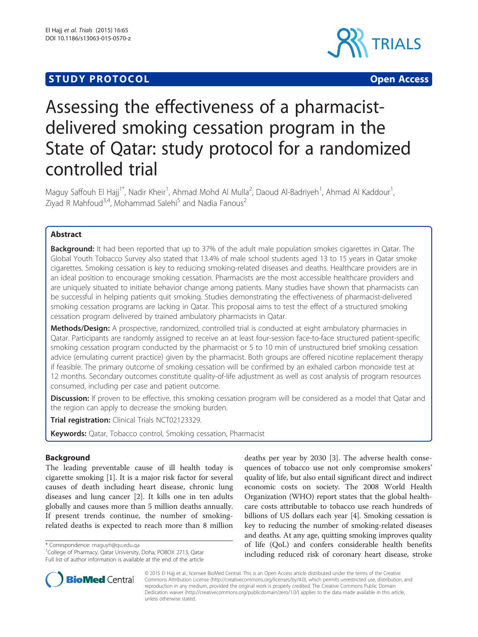# **STUDY PROTOCOL CONSUMING THE CONSUMING OPEN ACCESS**



# Assessing the effectiveness of a pharmacistdelivered smoking cessation program in the State of Qatar: study protocol for a randomized controlled trial

Maguy Saffouh El Hajj<sup>1\*</sup>, Nadir Kheir<sup>1</sup>, Ahmad Mohd Al Mulla<sup>2</sup>, Daoud Al-Badriyeh<sup>1</sup>, Ahmad Al Kaddour<sup>1</sup> , Ziyad R Mahfoud<sup>3,4</sup>, Mohammad Salehi<sup>5</sup> and Nadia Fanous<sup>2</sup>

# Abstract

Background: It had been reported that up to 37% of the adult male population smokes cigarettes in Qatar. The Global Youth Tobacco Survey also stated that 13.4% of male school students aged 13 to 15 years in Qatar smoke cigarettes. Smoking cessation is key to reducing smoking-related diseases and deaths. Healthcare providers are in an ideal position to encourage smoking cessation. Pharmacists are the most accessible healthcare providers and are uniquely situated to initiate behavior change among patients. Many studies have shown that pharmacists can be successful in helping patients quit smoking. Studies demonstrating the effectiveness of pharmacist-delivered smoking cessation programs are lacking in Qatar. This proposal aims to test the effect of a structured smoking cessation program delivered by trained ambulatory pharmacists in Qatar.

Methods/Design: A prospective, randomized, controlled trial is conducted at eight ambulatory pharmacies in Qatar. Participants are randomly assigned to receive an at least four-session face-to-face structured patient-specific smoking cessation program conducted by the pharmacist or 5 to 10 min of unstructured brief smoking cessation advice (emulating current practice) given by the pharmacist. Both groups are offered nicotine replacement therapy if feasible. The primary outcome of smoking cessation will be confirmed by an exhaled carbon monoxide test at 12 months. Secondary outcomes constitute quality-of-life adjustment as well as cost analysis of program resources consumed, including per case and patient outcome.

Discussion: If proven to be effective, this smoking cessation program will be considered as a model that Qatar and the region can apply to decrease the smoking burden.

Trial registration: Clinical Trials [NCT02123329](https://clinicaltrials.gov/ct2/show/NCT02123329).

Keywords: Qatar, Tobacco control, Smoking cessation, Pharmacist

# Background

The leading preventable cause of ill health today is cigarette smoking [[1\]](#page-10-0). It is a major risk factor for several causes of death including heart disease, chronic lung diseases and lung cancer [\[2\]](#page-10-0). It kills one in ten adults globally and causes more than 5 million deaths annually. If present trends continue, the number of smokingrelated deaths is expected to reach more than 8 million

\* Correspondence: [maguyh@qu.edu.qa](mailto:maguyh@qu.edu.qa)

<sup>1</sup>College of Pharmacy, Qatar University, Doha, POBOX 2713, Qatar Full list of author information is available at the end of the article





© 2015 El Hajj et al.; licensee BioMed Central. This is an Open Access article distributed under the terms of the Creative Commons Attribution License [\(http://creativecommons.org/licenses/by/4.0\)](http://creativecommons.org/licenses/by/4.0), which permits unrestricted use, distribution, and reproduction in any medium, provided the original work is properly credited. The Creative Commons Public Domain Dedication waiver [\(http://creativecommons.org/publicdomain/zero/1.0/](http://creativecommons.org/publicdomain/zero/1.0/)) applies to the data made available in this article, unless otherwise stated.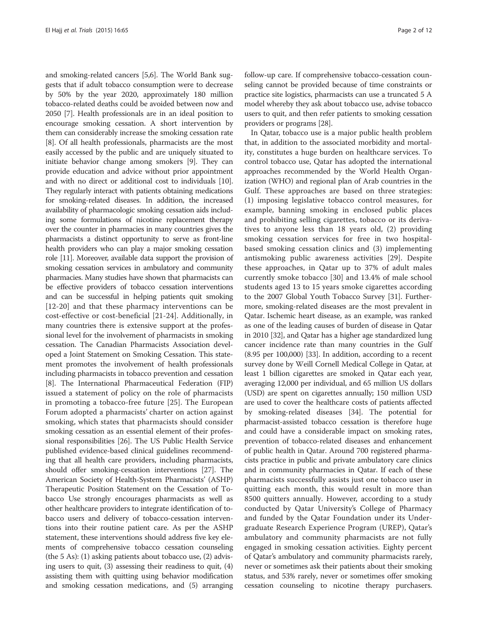and smoking-related cancers [[5,6\]](#page-10-0). The World Bank suggests that if adult tobacco consumption were to decrease by 50% by the year 2020, approximately 180 million tobacco-related deaths could be avoided between now and 2050 [[7\]](#page-10-0). Health professionals are in an ideal position to encourage smoking cessation. A short intervention by them can considerably increase the smoking cessation rate [[8\]](#page-10-0). Of all health professionals, pharmacists are the most easily accessed by the public and are uniquely situated to initiate behavior change among smokers [\[9\]](#page-10-0). They can provide education and advice without prior appointment and with no direct or additional cost to individuals [[10](#page-10-0)]. They regularly interact with patients obtaining medications for smoking-related diseases. In addition, the increased availability of pharmacologic smoking cessation aids including some formulations of nicotine replacement therapy over the counter in pharmacies in many countries gives the pharmacists a distinct opportunity to serve as front-line health providers who can play a major smoking cessation role [\[11](#page-10-0)]. Moreover, available data support the provision of smoking cessation services in ambulatory and community pharmacies. Many studies have shown that pharmacists can be effective providers of tobacco cessation interventions and can be successful in helping patients quit smoking [[12-20\]](#page-10-0) and that these pharmacy interventions can be cost-effective or cost-beneficial [\[21](#page-10-0)-[24](#page-10-0)]. Additionally, in many countries there is extensive support at the professional level for the involvement of pharmacists in smoking cessation. The Canadian Pharmacists Association developed a Joint Statement on Smoking Cessation. This statement promotes the involvement of health professionals including pharmacists in tobacco prevention and cessation [[8\]](#page-10-0). The International Pharmaceutical Federation (FIP) issued a statement of policy on the role of pharmacists in promoting a tobacco-free future [[25\]](#page-10-0). The European Forum adopted a pharmacists' charter on action against smoking, which states that pharmacists should consider smoking cessation as an essential element of their professional responsibilities [\[26](#page-10-0)]. The US Public Health Service published evidence-based clinical guidelines recommending that all health care providers, including pharmacists, should offer smoking-cessation interventions [\[27\]](#page-10-0). The American Society of Health-System Pharmacists' (ASHP) Therapeutic Position Statement on the Cessation of Tobacco Use strongly encourages pharmacists as well as other healthcare providers to integrate identification of tobacco users and delivery of tobacco-cessation interventions into their routine patient care. As per the ASHP statement, these interventions should address five key elements of comprehensive tobacco cessation counseling (the 5 As): (1) asking patients about tobacco use, (2) advising users to quit, (3) assessing their readiness to quit, (4) assisting them with quitting using behavior modification and smoking cessation medications, and (5) arranging follow-up care. If comprehensive tobacco-cessation counseling cannot be provided because of time constraints or practice site logistics, pharmacists can use a truncated 5 A model whereby they ask about tobacco use, advise tobacco users to quit, and then refer patients to smoking cessation providers or programs [[28](#page-10-0)].

In Qatar, tobacco use is a major public health problem that, in addition to the associated morbidity and mortality, constitutes a huge burden on healthcare services. To control tobacco use, Qatar has adopted the international approaches recommended by the World Health Organization (WHO) and regional plan of Arab countries in the Gulf. These approaches are based on three strategies: (1) imposing legislative tobacco control measures, for example, banning smoking in enclosed public places and prohibiting selling cigarettes, tobacco or its derivatives to anyone less than 18 years old, (2) providing smoking cessation services for free in two hospitalbased smoking cessation clinics and (3) implementing antismoking public awareness activities [\[29](#page-10-0)]. Despite these approaches, in Qatar up to 37% of adult males currently smoke tobacco [[30\]](#page-10-0) and 13.4% of male school students aged 13 to 15 years smoke cigarettes according to the 2007 Global Youth Tobacco Survey [[31](#page-10-0)]. Furthermore, smoking-related diseases are the most prevalent in Qatar. Ischemic heart disease, as an example, was ranked as one of the leading causes of burden of disease in Qatar in 2010 [\[32\]](#page-10-0), and Qatar has a higher age standardized lung cancer incidence rate than many countries in the Gulf (8.95 per 100,000) [\[33\]](#page-10-0). In addition, according to a recent survey done by Weill Cornell Medical College in Qatar, at least 1 billion cigarettes are smoked in Qatar each year, averaging 12,000 per individual, and 65 million US dollars (USD) are spent on cigarettes annually; 150 million USD are used to cover the healthcare costs of patients affected by smoking-related diseases [\[34](#page-10-0)]. The potential for pharmacist-assisted tobacco cessation is therefore huge and could have a considerable impact on smoking rates, prevention of tobacco-related diseases and enhancement of public health in Qatar. Around 700 registered pharmacists practice in public and private ambulatory care clinics and in community pharmacies in Qatar. If each of these pharmacists successfully assists just one tobacco user in quitting each month, this would result in more than 8500 quitters annually. However, according to a study conducted by Qatar University's College of Pharmacy and funded by the Qatar Foundation under its Undergraduate Research Experience Program (UREP), Qatar's ambulatory and community pharmacists are not fully engaged in smoking cessation activities. Eighty percent of Qatar's ambulatory and community pharmacists rarely, never or sometimes ask their patients about their smoking status, and 53% rarely, never or sometimes offer smoking cessation counseling to nicotine therapy purchasers.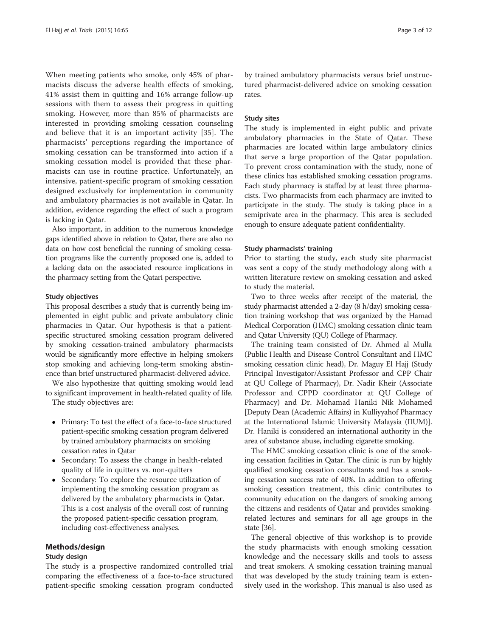When meeting patients who smoke, only 45% of pharmacists discuss the adverse health effects of smoking, 41% assist them in quitting and 16% arrange follow-up sessions with them to assess their progress in quitting smoking. However, more than 85% of pharmacists are interested in providing smoking cessation counseling and believe that it is an important activity [[35\]](#page-10-0). The pharmacists' perceptions regarding the importance of smoking cessation can be transformed into action if a smoking cessation model is provided that these pharmacists can use in routine practice. Unfortunately, an intensive, patient-specific program of smoking cessation designed exclusively for implementation in community and ambulatory pharmacies is not available in Qatar. In addition, evidence regarding the effect of such a program is lacking in Qatar.

Also important, in addition to the numerous knowledge gaps identified above in relation to Qatar, there are also no data on how cost beneficial the running of smoking cessation programs like the currently proposed one is, added to a lacking data on the associated resource implications in the pharmacy setting from the Qatari perspective.

#### Study objectives

This proposal describes a study that is currently being implemented in eight public and private ambulatory clinic pharmacies in Qatar. Our hypothesis is that a patientspecific structured smoking cessation program delivered by smoking cessation-trained ambulatory pharmacists would be significantly more effective in helping smokers stop smoking and achieving long-term smoking abstinence than brief unstructured pharmacist-delivered advice.

We also hypothesize that quitting smoking would lead to significant improvement in health-related quality of life. The study objectives are:

- Primary: To test the effect of a face-to-face structured patient-specific smoking cessation program delivered by trained ambulatory pharmacists on smoking cessation rates in Qatar
- Secondary: To assess the change in health-related quality of life in quitters vs. non-quitters
- Secondary: To explore the resource utilization of implementing the smoking cessation program as delivered by the ambulatory pharmacists in Qatar. This is a cost analysis of the overall cost of running the proposed patient-specific cessation program, including cost-effectiveness analyses.

# Methods/design

# Study design

The study is a prospective randomized controlled trial comparing the effectiveness of a face-to-face structured patient-specific smoking cessation program conducted

by trained ambulatory pharmacists versus brief unstructured pharmacist-delivered advice on smoking cessation rates.

## Study sites

The study is implemented in eight public and private ambulatory pharmacies in the State of Qatar. These pharmacies are located within large ambulatory clinics that serve a large proportion of the Qatar population. To prevent cross contamination with the study, none of these clinics has established smoking cessation programs. Each study pharmacy is staffed by at least three pharmacists. Two pharmacists from each pharmacy are invited to participate in the study. The study is taking place in a semiprivate area in the pharmacy. This area is secluded enough to ensure adequate patient confidentiality.

#### Study pharmacists' training

Prior to starting the study, each study site pharmacist was sent a copy of the study methodology along with a written literature review on smoking cessation and asked to study the material.

Two to three weeks after receipt of the material, the study pharmacist attended a 2-day (8 h/day) smoking cessation training workshop that was organized by the Hamad Medical Corporation (HMC) smoking cessation clinic team and Qatar University (QU) College of Pharmacy.

The training team consisted of Dr. Ahmed al Mulla (Public Health and Disease Control Consultant and HMC smoking cessation clinic head), Dr. Maguy El Hajj (Study Principal Investigator/Assistant Professor and CPP Chair at QU College of Pharmacy), Dr. Nadir Kheir (Associate Professor and CPPD coordinator at QU College of Pharmacy) and Dr. Mohamad Haniki Nik Mohamed [Deputy Dean (Academic Affairs) in Kulliyyahof Pharmacy at the International Islamic University Malaysia (IIUM)]. Dr. Haniki is considered an international authority in the area of substance abuse, including cigarette smoking.

The HMC smoking cessation clinic is one of the smoking cessation facilities in Qatar. The clinic is run by highly qualified smoking cessation consultants and has a smoking cessation success rate of 40%. In addition to offering smoking cessation treatment, this clinic contributes to community education on the dangers of smoking among the citizens and residents of Qatar and provides smokingrelated lectures and seminars for all age groups in the state [[36\]](#page-10-0).

The general objective of this workshop is to provide the study pharmacists with enough smoking cessation knowledge and the necessary skills and tools to assess and treat smokers. A smoking cessation training manual that was developed by the study training team is extensively used in the workshop. This manual is also used as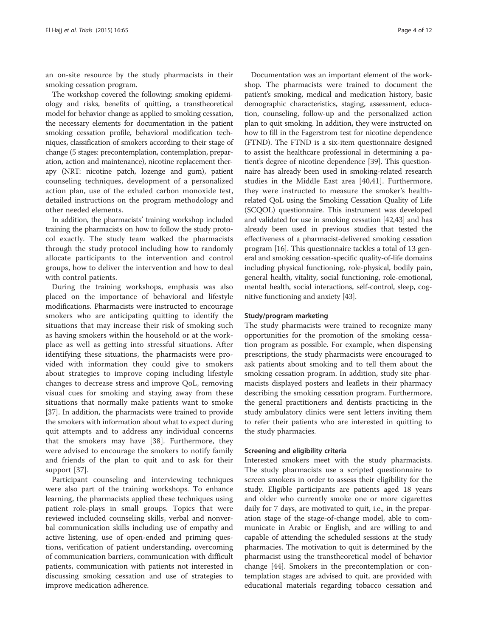an on-site resource by the study pharmacists in their smoking cessation program.

The workshop covered the following: smoking epidemiology and risks, benefits of quitting, a transtheoretical model for behavior change as applied to smoking cessation, the necessary elements for documentation in the patient smoking cessation profile, behavioral modification techniques, classification of smokers according to their stage of change (5 stages: precontemplation, contemplation, preparation, action and maintenance), nicotine replacement therapy (NRT: nicotine patch, lozenge and gum), patient counseling techniques, development of a personalized action plan, use of the exhaled carbon monoxide test, detailed instructions on the program methodology and other needed elements.

In addition, the pharmacists' training workshop included training the pharmacists on how to follow the study protocol exactly. The study team walked the pharmacists through the study protocol including how to randomly allocate participants to the intervention and control groups, how to deliver the intervention and how to deal with control patients.

During the training workshops, emphasis was also placed on the importance of behavioral and lifestyle modifications. Pharmacists were instructed to encourage smokers who are anticipating quitting to identify the situations that may increase their risk of smoking such as having smokers within the household or at the workplace as well as getting into stressful situations. After identifying these situations, the pharmacists were provided with information they could give to smokers about strategies to improve coping including lifestyle changes to decrease stress and improve QoL, removing visual cues for smoking and staying away from these situations that normally make patients want to smoke [[37](#page-10-0)]. In addition, the pharmacists were trained to provide the smokers with information about what to expect during quit attempts and to address any individual concerns that the smokers may have [\[38](#page-10-0)]. Furthermore, they were advised to encourage the smokers to notify family and friends of the plan to quit and to ask for their support [[37](#page-10-0)].

Participant counseling and interviewing techniques were also part of the training workshops. To enhance learning, the pharmacists applied these techniques using patient role-plays in small groups. Topics that were reviewed included counseling skills, verbal and nonverbal communication skills including use of empathy and active listening, use of open-ended and priming questions, verification of patient understanding, overcoming of communication barriers, communication with difficult patients, communication with patients not interested in discussing smoking cessation and use of strategies to improve medication adherence.

Documentation was an important element of the workshop. The pharmacists were trained to document the patient's smoking, medical and medication history, basic demographic characteristics, staging, assessment, education, counseling, follow-up and the personalized action plan to quit smoking. In addition, they were instructed on how to fill in the Fagerstrom test for nicotine dependence (FTND). The FTND is a six-item questionnaire designed to assist the healthcare professional in determining a patient's degree of nicotine dependence [[39](#page-10-0)]. This questionnaire has already been used in smoking-related research studies in the Middle East area [[40,41](#page-11-0)]. Furthermore, they were instructed to measure the smoker's healthrelated QoL using the Smoking Cessation Quality of Life (SCQOL) questionnaire. This instrument was developed and validated for use in smoking cessation [\[42,43\]](#page-11-0) and has already been used in previous studies that tested the effectiveness of a pharmacist-delivered smoking cessation program [\[16\]](#page-10-0). This questionnaire tackles a total of 13 general and smoking cessation-specific quality-of-life domains including physical functioning, role-physical, bodily pain, general health, vitality, social functioning, role-emotional, mental health, social interactions, self-control, sleep, cognitive functioning and anxiety [[43](#page-11-0)].

#### Study/program marketing

The study pharmacists were trained to recognize many opportunities for the promotion of the smoking cessation program as possible. For example, when dispensing prescriptions, the study pharmacists were encouraged to ask patients about smoking and to tell them about the smoking cessation program. In addition, study site pharmacists displayed posters and leaflets in their pharmacy describing the smoking cessation program. Furthermore, the general practitioners and dentists practicing in the study ambulatory clinics were sent letters inviting them to refer their patients who are interested in quitting to the study pharmacies.

#### Screening and eligibility criteria

Interested smokers meet with the study pharmacists. The study pharmacists use a scripted questionnaire to screen smokers in order to assess their eligibility for the study. Eligible participants are patients aged 18 years and older who currently smoke one or more cigarettes daily for 7 days, are motivated to quit, i.e., in the preparation stage of the stage-of-change model, able to communicate in Arabic or English, and are willing to and capable of attending the scheduled sessions at the study pharmacies. The motivation to quit is determined by the pharmacist using the transtheoretical model of behavior change [[44\]](#page-11-0). Smokers in the precontemplation or contemplation stages are advised to quit, are provided with educational materials regarding tobacco cessation and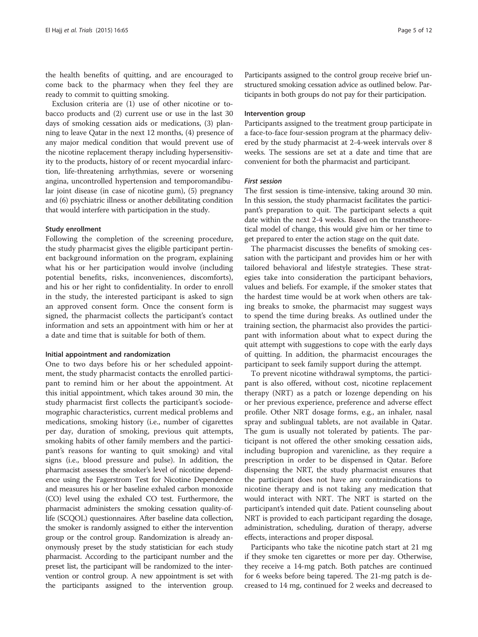the health benefits of quitting, and are encouraged to come back to the pharmacy when they feel they are ready to commit to quitting smoking.

Exclusion criteria are (1) use of other nicotine or tobacco products and (2) current use or use in the last 30 days of smoking cessation aids or medications, (3) planning to leave Qatar in the next 12 months, (4) presence of any major medical condition that would prevent use of the nicotine replacement therapy including hypersensitivity to the products, history of or recent myocardial infarction, life-threatening arrhythmias, severe or worsening angina, uncontrolled hypertension and temporomandibular joint disease (in case of nicotine gum), (5) pregnancy and (6) psychiatric illness or another debilitating condition that would interfere with participation in the study.

# Study enrollment

Following the completion of the screening procedure, the study pharmacist gives the eligible participant pertinent background information on the program, explaining what his or her participation would involve (including potential benefits, risks, inconveniences, discomforts), and his or her right to confidentiality. In order to enroll in the study, the interested participant is asked to sign an approved consent form. Once the consent form is signed, the pharmacist collects the participant's contact information and sets an appointment with him or her at a date and time that is suitable for both of them.

#### Initial appointment and randomization

One to two days before his or her scheduled appointment, the study pharmacist contacts the enrolled participant to remind him or her about the appointment. At this initial appointment, which takes around 30 min, the study pharmacist first collects the participant's sociodemographic characteristics, current medical problems and medications, smoking history (i.e., number of cigarettes per day, duration of smoking, previous quit attempts, smoking habits of other family members and the participant's reasons for wanting to quit smoking) and vital signs (i.e., blood pressure and pulse). In addition, the pharmacist assesses the smoker's level of nicotine dependence using the Fagerstrom Test for Nicotine Dependence and measures his or her baseline exhaled carbon monoxide (CO) level using the exhaled CO test. Furthermore, the pharmacist administers the smoking cessation quality-oflife (SCQOL) questionnaires. After baseline data collection, the smoker is randomly assigned to either the intervention group or the control group. Randomization is already anonymously preset by the study statistician for each study pharmacist. According to the participant number and the preset list, the participant will be randomized to the intervention or control group. A new appointment is set with the participants assigned to the intervention group. Participants assigned to the control group receive brief unstructured smoking cessation advice as outlined below. Participants in both groups do not pay for their participation.

#### Intervention group

Participants assigned to the treatment group participate in a face-to-face four-session program at the pharmacy delivered by the study pharmacist at 2-4-week intervals over 8 weeks. The sessions are set at a date and time that are convenient for both the pharmacist and participant.

# First session

The first session is time-intensive, taking around 30 min. In this session, the study pharmacist facilitates the participant's preparation to quit. The participant selects a quit date within the next 2-4 weeks. Based on the transtheoretical model of change, this would give him or her time to get prepared to enter the action stage on the quit date.

The pharmacist discusses the benefits of smoking cessation with the participant and provides him or her with tailored behavioral and lifestyle strategies. These strategies take into consideration the participant behaviors, values and beliefs. For example, if the smoker states that the hardest time would be at work when others are taking breaks to smoke, the pharmacist may suggest ways to spend the time during breaks. As outlined under the training section, the pharmacist also provides the participant with information about what to expect during the quit attempt with suggestions to cope with the early days of quitting. In addition, the pharmacist encourages the participant to seek family support during the attempt.

To prevent nicotine withdrawal symptoms, the participant is also offered, without cost, nicotine replacement therapy (NRT) as a patch or lozenge depending on his or her previous experience, preference and adverse effect profile. Other NRT dosage forms, e.g., an inhaler, nasal spray and sublingual tablets, are not available in Qatar. The gum is usually not tolerated by patients. The participant is not offered the other smoking cessation aids, including bupropion and varenicline, as they require a prescription in order to be dispensed in Qatar. Before dispensing the NRT, the study pharmacist ensures that the participant does not have any contraindications to nicotine therapy and is not taking any medication that would interact with NRT. The NRT is started on the participant's intended quit date. Patient counseling about NRT is provided to each participant regarding the dosage, administration, scheduling, duration of therapy, adverse effects, interactions and proper disposal.

Participants who take the nicotine patch start at 21 mg if they smoke ten cigarettes or more per day. Otherwise, they receive a 14-mg patch. Both patches are continued for 6 weeks before being tapered. The 21-mg patch is decreased to 14 mg, continued for 2 weeks and decreased to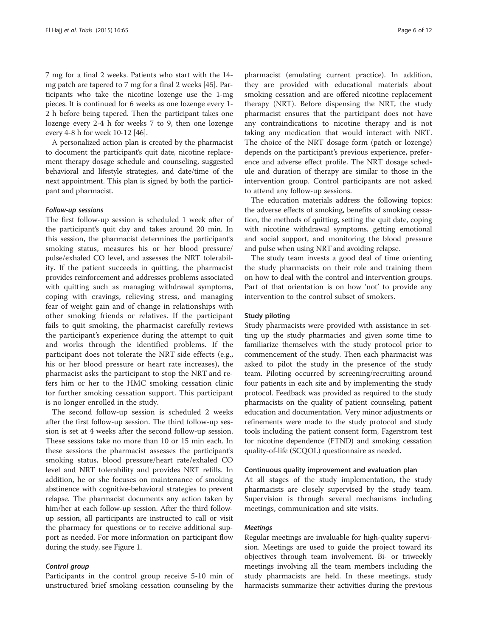7 mg for a final 2 weeks. Patients who start with the 14 mg patch are tapered to 7 mg for a final 2 weeks [\[45](#page-11-0)]. Participants who take the nicotine lozenge use the 1-mg pieces. It is continued for 6 weeks as one lozenge every 1- 2 h before being tapered. Then the participant takes one lozenge every 2-4 h for weeks 7 to 9, then one lozenge every 4-8 h for week 10-12 [\[46\]](#page-11-0).

A personalized action plan is created by the pharmacist to document the participant's quit date, nicotine replacement therapy dosage schedule and counseling, suggested behavioral and lifestyle strategies, and date/time of the next appointment. This plan is signed by both the participant and pharmacist.

#### Follow-up sessions

The first follow-up session is scheduled 1 week after of the participant's quit day and takes around 20 min. In this session, the pharmacist determines the participant's smoking status, measures his or her blood pressure/ pulse/exhaled CO level, and assesses the NRT tolerability. If the patient succeeds in quitting, the pharmacist provides reinforcement and addresses problems associated with quitting such as managing withdrawal symptoms, coping with cravings, relieving stress, and managing fear of weight gain and of change in relationships with other smoking friends or relatives. If the participant fails to quit smoking, the pharmacist carefully reviews the participant's experience during the attempt to quit and works through the identified problems. If the participant does not tolerate the NRT side effects (e.g., his or her blood pressure or heart rate increases), the pharmacist asks the participant to stop the NRT and refers him or her to the HMC smoking cessation clinic for further smoking cessation support. This participant is no longer enrolled in the study.

The second follow-up session is scheduled 2 weeks after the first follow-up session. The third follow-up session is set at 4 weeks after the second follow-up session. These sessions take no more than 10 or 15 min each. In these sessions the pharmacist assesses the participant's smoking status, blood pressure/heart rate/exhaled CO level and NRT tolerability and provides NRT refills. In addition, he or she focuses on maintenance of smoking abstinence with cognitive-behavioral strategies to prevent relapse. The pharmacist documents any action taken by him/her at each follow-up session. After the third followup session, all participants are instructed to call or visit the pharmacy for questions or to receive additional support as needed. For more information on participant flow during the study, see Figure [1.](#page-6-0)

# Control group

Participants in the control group receive 5-10 min of unstructured brief smoking cessation counseling by the

pharmacist (emulating current practice). In addition, they are provided with educational materials about smoking cessation and are offered nicotine replacement therapy (NRT). Before dispensing the NRT, the study pharmacist ensures that the participant does not have any contraindications to nicotine therapy and is not taking any medication that would interact with NRT. The choice of the NRT dosage form (patch or lozenge) depends on the participant's previous experience, preference and adverse effect profile. The NRT dosage schedule and duration of therapy are similar to those in the intervention group. Control participants are not asked to attend any follow-up sessions.

The education materials address the following topics: the adverse effects of smoking, benefits of smoking cessation, the methods of quitting, setting the quit date, coping with nicotine withdrawal symptoms, getting emotional and social support, and monitoring the blood pressure and pulse when using NRT and avoiding relapse.

The study team invests a good deal of time orienting the study pharmacists on their role and training them on how to deal with the control and intervention groups. Part of that orientation is on how 'not' to provide any intervention to the control subset of smokers.

## Study piloting

Study pharmacists were provided with assistance in setting up the study pharmacies and given some time to familiarize themselves with the study protocol prior to commencement of the study. Then each pharmacist was asked to pilot the study in the presence of the study team. Piloting occurred by screening/recruiting around four patients in each site and by implementing the study protocol. Feedback was provided as required to the study pharmacists on the quality of patient counseling, patient education and documentation. Very minor adjustments or refinements were made to the study protocol and study tools including the patient consent form, Fagerstrom test for nicotine dependence (FTND) and smoking cessation quality-of-life (SCQOL) questionnaire as needed.

# Continuous quality improvement and evaluation plan

At all stages of the study implementation, the study pharmacists are closely supervised by the study team. Supervision is through several mechanisms including meetings, communication and site visits.

#### **Meetings**

Regular meetings are invaluable for high-quality supervision. Meetings are used to guide the project toward its objectives through team involvement. Bi- or triweekly meetings involving all the team members including the study pharmacists are held. In these meetings, study harmacists summarize their activities during the previous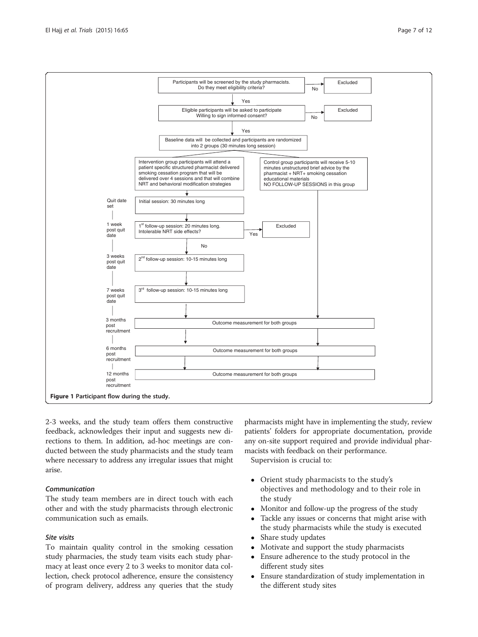<span id="page-6-0"></span>

2-3 weeks, and the study team offers them constructive feedback, acknowledges their input and suggests new directions to them. In addition, ad-hoc meetings are conducted between the study pharmacists and the study team where necessary to address any irregular issues that might arise.

# Communication

The study team members are in direct touch with each other and with the study pharmacists through electronic communication such as emails.

# Site visits

To maintain quality control in the smoking cessation study pharmacies, the study team visits each study pharmacy at least once every 2 to 3 weeks to monitor data collection, check protocol adherence, ensure the consistency of program delivery, address any queries that the study pharmacists might have in implementing the study, review patients' folders for appropriate documentation, provide any on-site support required and provide individual pharmacists with feedback on their performance.

Supervision is crucial to:

- Orient study pharmacists to the study's objectives and methodology and to their role in the study
- Monitor and follow-up the progress of the study
- Tackle any issues or concerns that might arise with the study pharmacists while the study is executed
- Share study updates
- Motivate and support the study pharmacists
- Ensure adherence to the study protocol in the different study sites
- Ensure standardization of study implementation in the different study sites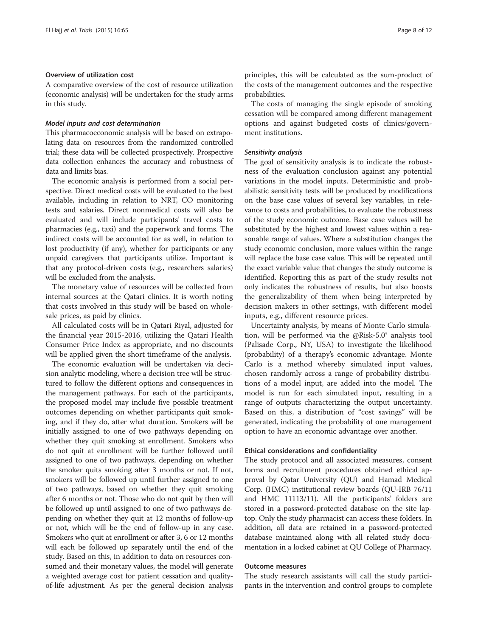#### Overview of utilization cost

A comparative overview of the cost of resource utilization (economic analysis) will be undertaken for the study arms in this study.

#### Model inputs and cost determination

This pharmacoeconomic analysis will be based on extrapolating data on resources from the randomized controlled trial; these data will be collected prospectively. Prospective data collection enhances the accuracy and robustness of data and limits bias.

The economic analysis is performed from a social perspective. Direct medical costs will be evaluated to the best available, including in relation to NRT, CO monitoring tests and salaries. Direct nonmedical costs will also be evaluated and will include participants' travel costs to pharmacies (e.g., taxi) and the paperwork and forms. The indirect costs will be accounted for as well, in relation to lost productivity (if any), whether for participants or any unpaid caregivers that participants utilize. Important is that any protocol-driven costs (e.g., researchers salaries) will be excluded from the analysis.

The monetary value of resources will be collected from internal sources at the Qatari clinics. It is worth noting that costs involved in this study will be based on wholesale prices, as paid by clinics.

All calculated costs will be in Qatari Riyal, adjusted for the financial year 2015-2016, utilizing the Qatari Health Consumer Price Index as appropriate, and no discounts will be applied given the short timeframe of the analysis.

The economic evaluation will be undertaken via decision analytic modeling, where a decision tree will be structured to follow the different options and consequences in the management pathways. For each of the participants, the proposed model may include five possible treatment outcomes depending on whether participants quit smoking, and if they do, after what duration. Smokers will be initially assigned to one of two pathways depending on whether they quit smoking at enrollment. Smokers who do not quit at enrollment will be further followed until assigned to one of two pathways, depending on whether the smoker quits smoking after 3 months or not. If not, smokers will be followed up until further assigned to one of two pathways, based on whether they quit smoking after 6 months or not. Those who do not quit by then will be followed up until assigned to one of two pathways depending on whether they quit at 12 months of follow-up or not, which will be the end of follow-up in any case. Smokers who quit at enrollment or after 3, 6 or 12 months will each be followed up separately until the end of the study. Based on this, in addition to data on resources consumed and their monetary values, the model will generate a weighted average cost for patient cessation and qualityof-life adjustment. As per the general decision analysis principles, this will be calculated as the sum-product of the costs of the management outcomes and the respective probabilities.

The costs of managing the single episode of smoking cessation will be compared among different management options and against budgeted costs of clinics/government institutions.

#### Sensitivity analysis

The goal of sensitivity analysis is to indicate the robustness of the evaluation conclusion against any potential variations in the model inputs. Deterministic and probabilistic sensitivity tests will be produced by modifications on the base case values of several key variables, in relevance to costs and probabilities, to evaluate the robustness of the study economic outcome. Base case values will be substituted by the highest and lowest values within a reasonable range of values. Where a substitution changes the study economic conclusion, more values within the range will replace the base case value. This will be repeated until the exact variable value that changes the study outcome is identified. Reporting this as part of the study results not only indicates the robustness of results, but also boosts the generalizability of them when being interpreted by decision makers in other settings, with different model inputs, e.g., different resource prices.

Uncertainty analysis, by means of Monte Carlo simulation, will be performed via the @Risk-5.0® analysis tool (Palisade Corp., NY, USA) to investigate the likelihood (probability) of a therapy's economic advantage. Monte Carlo is a method whereby simulated input values, chosen randomly across a range of probability distributions of a model input, are added into the model. The model is run for each simulated input, resulting in a range of outputs characterizing the output uncertainty. Based on this, a distribution of "cost savings" will be generated, indicating the probability of one management option to have an economic advantage over another.

# Ethical considerations and confidentiality

The study protocol and all associated measures, consent forms and recruitment procedures obtained ethical approval by Qatar University (QU) and Hamad Medical Corp. (HMC) institutional review boards (QU-IRB 76/11 and HMC 11113/11). All the participants' folders are stored in a password-protected database on the site laptop. Only the study pharmacist can access these folders. In addition, all data are retained in a password-protected database maintained along with all related study documentation in a locked cabinet at QU College of Pharmacy.

# Outcome measures

The study research assistants will call the study participants in the intervention and control groups to complete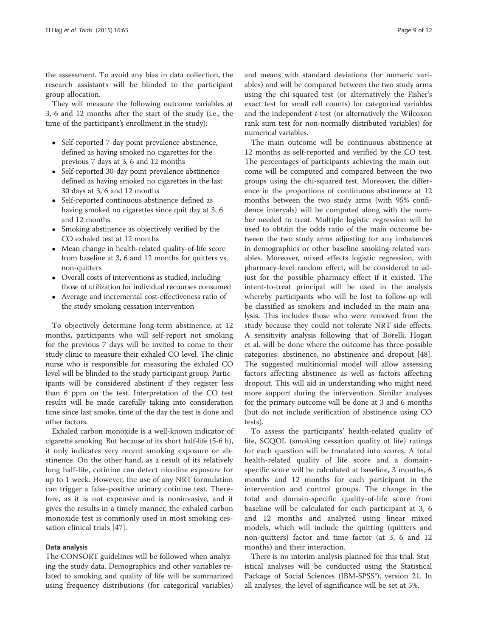the assessment. To avoid any bias in data collection, the research assistants will be blinded to the participant group allocation.

They will measure the following outcome variables at 3, 6 and 12 months after the start of the study (i.e., the time of the participant's enrollment in the study):

- Self-reported 7-day point prevalence abstinence, defined as having smoked no cigarettes for the previous 7 days at 3, 6 and 12 months
- Self-reported 30-day point prevalence abstinence defined as having smoked no cigarettes in the last 30 days at 3, 6 and 12 months
- Self-reported continuous abstinence defined as having smoked no cigarettes since quit day at 3, 6 and 12 months
- Smoking abstinence as objectively verified by the CO exhaled test at 12 months
- Mean change in health-related quality-of-life score from baseline at 3, 6 and 12 months for quitters vs. non-quitters
- Overall costs of interventions as studied, including those of utilization for individual recourses consumed
- Average and incremental cost-effectiveness ratio of the study smoking cessation intervention

To objectively determine long-term abstinence, at 12 months, participants who will self-report not smoking for the previous 7 days will be invited to come to their study clinic to measure their exhaled CO level. The clinic nurse who is responsible for measuring the exhaled CO level will be blinded to the study participant group. Participants will be considered abstinent if they register less than 6 ppm on the test. Interpretation of the CO test results will be made carefully taking into consideration time since last smoke, time of the day the test is done and other factors.

Exhaled carbon monoxide is a well-known indicator of cigarette smoking. But because of its short half-life (5-6 h), it only indicates very recent smoking exposure or abstinence. On the other hand, as a result of its relatively long half-life, cotinine can detect nicotine exposure for up to 1 week. However, the use of any NRT formulation can trigger a false-positive urinary cotinine test. Therefore, as it is not expensive and is noninvasive, and it gives the results in a timely manner, the exhaled carbon monoxide test is commonly used in most smoking cessation clinical trials [[47](#page-11-0)].

# Data analysis

The CONSORT guidelines will be followed when analyzing the study data. Demographics and other variables related to smoking and quality of life will be summarized using frequency distributions (for categorical variables)

and means with standard deviations (for numeric variables) and will be compared between the two study arms using the chi-squared test (or alternatively the Fisher's exact test for small cell counts) for categorical variables and the independent  $t$ -test (or alternatively the Wilcoxon rank sum test for non-normally distributed variables) for numerical variables.

The main outcome will be continuous abstinence at 12 months as self-reported and verified by the CO test. The percentages of participants achieving the main outcome will be computed and compared between the two groups using the chi-squared test. Moreover, the difference in the proportions of continuous abstinence at 12 months between the two study arms (with 95% confidence intervals) will be computed along with the number needed to treat. Multiple logistic regression will be used to obtain the odds ratio of the main outcome between the two study arms adjusting for any imbalances in demographics or other baseline smoking-related variables. Moreover, mixed effects logistic regression, with pharmacy-level random effect, will be considered to adjust for the possible pharmacy effect if it existed. The intent-to-treat principal will be used in the analysis whereby participants who will be lost to follow-up will be classified as smokers and included in the main analysis. This includes those who were removed from the study because they could not tolerate NRT side effects. A sensitivity analysis following that of Borelli, Hogan et al. will be done where the outcome has three possible categories: abstinence, no abstinence and dropout [\[48](#page-11-0)]. The suggested multinomial model will allow assessing factors affecting abstinence as well as factors affecting dropout. This will aid in understanding who might need more support during the intervention. Similar analyses for the primary outcome will be done at 3 and 6 months (but do not include verification of abstinence using CO tests).

To assess the participants' health-related quality of life, SCQOL (smoking cessation quality of life) ratings for each question will be translated into scores. A total health-related quality of life score and a domainspecific score will be calculated at baseline, 3 months, 6 months and 12 months for each participant in the intervention and control groups. The change in the total and domain-specific quality-of-life score from baseline will be calculated for each participant at 3, 6 and 12 months and analyzed using linear mixed models, which will include the quitting (quitters and non-quitters) factor and time factor (at 3, 6 and 12 months) and their interaction.

There is no interim analysis planned for this trial. Statistical analyses will be conducted using the Statistical Package of Social Sciences (IBM-SPSS®), version 21. In all analyses, the level of significance will be set at 5%.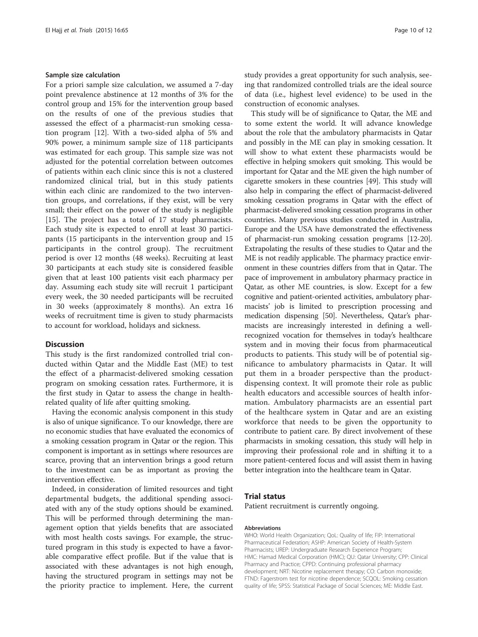#### Sample size calculation

For a priori sample size calculation, we assumed a 7-day point prevalence abstinence at 12 months of 3% for the control group and 15% for the intervention group based on the results of one of the previous studies that assessed the effect of a pharmacist-run smoking cessation program [[12](#page-10-0)]. With a two-sided alpha of 5% and 90% power, a minimum sample size of 118 participants was estimated for each group. This sample size was not adjusted for the potential correlation between outcomes of patients within each clinic since this is not a clustered randomized clinical trial, but in this study patients within each clinic are randomized to the two intervention groups, and correlations, if they exist, will be very small; their effect on the power of the study is negligible [[15\]](#page-10-0). The project has a total of 17 study pharmacists. Each study site is expected to enroll at least 30 participants (15 participants in the intervention group and 15 participants in the control group). The recruitment period is over 12 months (48 weeks). Recruiting at least 30 participants at each study site is considered feasible given that at least 100 patients visit each pharmacy per day. Assuming each study site will recruit 1 participant every week, the 30 needed participants will be recruited in 30 weeks (approximately 8 months). An extra 16 weeks of recruitment time is given to study pharmacists to account for workload, holidays and sickness.

## **Discussion**

This study is the first randomized controlled trial conducted within Qatar and the Middle East (ME) to test the effect of a pharmacist-delivered smoking cessation program on smoking cessation rates. Furthermore, it is the first study in Qatar to assess the change in healthrelated quality of life after quitting smoking.

Having the economic analysis component in this study is also of unique significance. To our knowledge, there are no economic studies that have evaluated the economics of a smoking cessation program in Qatar or the region. This component is important as in settings where resources are scarce, proving that an intervention brings a good return to the investment can be as important as proving the intervention effective.

Indeed, in consideration of limited resources and tight departmental budgets, the additional spending associated with any of the study options should be examined. This will be performed through determining the management option that yields benefits that are associated with most health costs savings. For example, the structured program in this study is expected to have a favorable comparative effect profile. But if the value that is associated with these advantages is not high enough, having the structured program in settings may not be the priority practice to implement. Here, the current study provides a great opportunity for such analysis, seeing that randomized controlled trials are the ideal source of data (i.e., highest level evidence) to be used in the construction of economic analyses.

This study will be of significance to Qatar, the ME and to some extent the world. It will advance knowledge about the role that the ambulatory pharmacists in Qatar and possibly in the ME can play in smoking cessation. It will show to what extent these pharmacists would be effective in helping smokers quit smoking. This would be important for Qatar and the ME given the high number of cigarette smokers in these countries [\[49\]](#page-11-0). This study will also help in comparing the effect of pharmacist-delivered smoking cessation programs in Qatar with the effect of pharmacist-delivered smoking cessation programs in other countries. Many previous studies conducted in Australia, Europe and the USA have demonstrated the effectiveness of pharmacist-run smoking cessation programs [[12](#page-10-0)-[20](#page-10-0)]. Extrapolating the results of these studies to Qatar and the ME is not readily applicable. The pharmacy practice environment in these countries differs from that in Qatar. The pace of improvement in ambulatory pharmacy practice in Qatar, as other ME countries, is slow. Except for a few cognitive and patient-oriented activities, ambulatory pharmacists' job is limited to prescription processing and medication dispensing [\[50\]](#page-11-0). Nevertheless, Qatar's pharmacists are increasingly interested in defining a wellrecognized vocation for themselves in today's healthcare system and in moving their focus from pharmaceutical products to patients. This study will be of potential significance to ambulatory pharmacists in Qatar. It will put them in a broader perspective than the productdispensing context. It will promote their role as public health educators and accessible sources of health information. Ambulatory pharmacists are an essential part of the healthcare system in Qatar and are an existing workforce that needs to be given the opportunity to contribute to patient care. By direct involvement of these pharmacists in smoking cessation, this study will help in improving their professional role and in shifting it to a more patient-centered focus and will assist them in having better integration into the healthcare team in Qatar.

# Trial status

Patient recruitment is currently ongoing.

#### Abbreviations

WHO: World Health Organization; QoL: Quality of life; FIP: International Pharmaceutical Federation; ASHP: American Society of Health-System Pharmacists; UREP: Undergraduate Research Experience Program; HMC: Hamad Medical Corporation (HMC); QU: Qatar University; CPP: Clinical Pharmacy and Practice; CPPD: Continuing professional pharmacy development; NRT: Nicotine replacement therapy; CO: Carbon monoxide; FTND: Fagerstrom test for nicotine dependence; SCQOL: Smoking cessation quality of life; SPSS: Statistical Package of Social Sciences; ME: Middle East.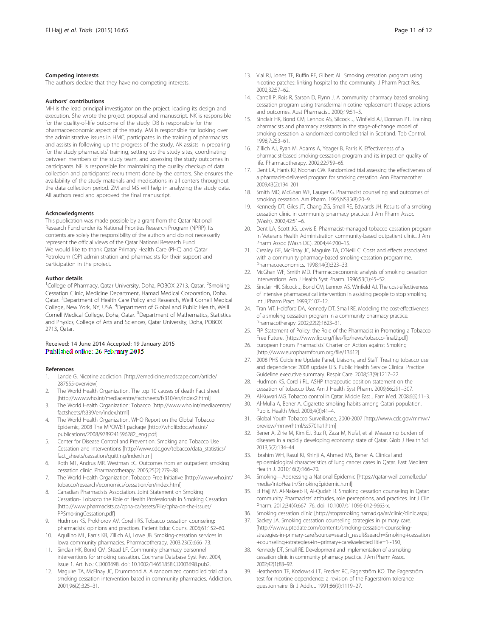#### <span id="page-10-0"></span>Competing interests

The authors declare that they have no competing interests.

#### Authors' contributions

MH is the lead principal investigator on the project, leading its design and execution. She wrote the project proposal and manuscript. NK is responsible for the quality-of-life outcome of the study. DB is responsible for the pharmacoeconomic aspect of the study. AM is responsible for looking over the administrative issues in HMC, participates in the training of pharmacists and assists in following up the progress of the study. AK assists in preparing for the study pharmacists' training, setting up the study sites, coordinating between members of the study team, and assessing the study outcomes in participants. NF is responsible for maintaining the quality checkup of data collection and participants' recruitment done by the centers. She ensures the availability of the study materials and medications in all centers throughout the data collection period. ZM and MS will help in analyzing the study data. All authors read and approved the final manuscript.

#### Acknowledgments

This publication was made possible by a grant from the Qatar National Research Fund under its National Priorities Research Program (NPRP). Its contents are solely the responsibility of the authors and do not necessarily represent the official views of the Qatar National Research Fund. We would like to thank Qatar Primary Health Care (PHC) and Qatar Petroleum (QP) administration and pharmacists for their support and participation in the project.

#### Author details

<sup>1</sup>College of Pharmacy, Qatar University, Doha, POBOX 2713, Qatar. <sup>2</sup>Smoking Cessation Clinic, Medicine Department, Hamad Medical Corporation, Doha, Qatar. <sup>3</sup>Department of Health Care Policy and Research, Weill Cornell Medical College, New York, NY, USA. <sup>4</sup>Department of Global and Public Health, Weill Cornell Medical College, Doha, Qatar. <sup>5</sup>Department of Mathematics, Statistics and Physics, College of Arts and Sciences, Qatar University, Doha, POBOX 2713, Qatar.

# Received: 14 June 2014 Accepted: 19 January 2015 Published online: 26 February 2015

#### References

- 1. Lande G. Nicotine addiction. [[http://emedicine.medscape.com/article/](http://emedicine.medscape.com/article/287555-overview) [287555-overview\]](http://emedicine.medscape.com/article/287555-overview)
- 2. The World Health Organization. The top 10 causes of death Fact sheet [[http://www.who.int/mediacentre/factsheets/fs310/en/index2.html\]](http://www.who.int/mediacentre/factsheets/fs310/en/index2.html)
- 3. The World Health Organization: Tobacco [[http://www.who.int/mediacentre/](http://www.who.int/mediacentre/factsheets/fs339/en/index.html) [factsheets/fs339/en/index.html](http://www.who.int/mediacentre/factsheets/fs339/en/index.html)]
- The World Health Organization. WHO Report on the Global Tobacco Epidemic, 2008 The MPOWER package [[http://whqlibdoc.who.int/](http://whqlibdoc.who.int/publications/2008/9789241596282_eng.pdf) [publications/2008/9789241596282\\_eng.pdf](http://whqlibdoc.who.int/publications/2008/9789241596282_eng.pdf)]
- 5. Center for Disease Control and Prevention: Smoking and Tobacco Use Cessation and Interventions [[http://www.cdc.gov/tobacco/data\\_statistics/](http://www.cdc.gov/tobacco/data_statistics/fact_sheets/cessation/quitting/index.htm) [fact\\_sheets/cessation/quitting/index.htm\]](http://www.cdc.gov/tobacco/data_statistics/fact_sheets/cessation/quitting/index.htm)
- 6. Roth MT, Andrus MR, Westman EC. Outcomes from an outpatient smoking cessation clinic. Pharmacotherapy. 2005;25(2):279–88.
- 7. The World Health Organization: Tobacco Free Initiative [\[http://www.who.int/](http://www.who.int/tobacco/research/economics/cessation/en/index.html) [tobacco/research/economics/cessation/en/index.html\]](http://www.who.int/tobacco/research/economics/cessation/en/index.html)
- Canadian Pharmacists Association. Joint Statement on Smoking Cessation- Tobacco the Role of Health Professionals in Smoking Cessation [[http://www.pharmacists.ca/cpha-ca/assets/File/cpha-on-the-issues/](http://www.pharmacists.ca/cpha-ca/assets/File/cpha-on-the-issues/PPSmokingCessation.pdf) [PPSmokingCessation.pdf\]](http://www.pharmacists.ca/cpha-ca/assets/File/cpha-on-the-issues/PPSmokingCessation.pdf)
- 9. Hudmon KS, Prokhorov AV, Corelli RS. Tobacco cessation counseling: pharmacists' opinions and practices. Patient Educ Couns. 2006;61:152–60.
- 10. Aquilino ML, Farris KB, Zillich AJ, Lowe JB. Smoking-cessation services in Iowa community pharmacies. Pharmacotherapy. 2003;23(5):666–73.
- 11. Sinclair HK, Bond CM, Stead LF. Community pharmacy personnel interventions for smoking cessation. Cochrane Database Syst Rev. 2004, Issue 1. Art. No.: CD003698. doi: 10.1002/14651858.CD003698.pub2.
- 12. Maguire TA, McElnay JC, Drummond A. A randomized controlled trial of a smoking cessation intervention based in community pharmacies. Addiction. 2001;96(2):325–31.
- 13. Vial RJ, Jones TE, Ruffin RE, Gilbert AL. Smoking cessation program using nicotine patches: linking hospital to the community. J Pharm Pract Res. 2002;32:57–62.
- 14. Carroll P, Rois R, Sarson D, Flynn J. A community pharmacy based smoking cessation program using transdermal nicotine replacement therapy: actions and outcomes. Aust Pharmacist. 2000;19:51–5.
- 15. Sinclair HK, Bond CM, Lennox AS, Silcock J, Winfield AJ, Donnan PT. Training pharmacists and pharmacy assistants in the stage-of-change model of smoking cessation: a randomized controlled trial in Scotland. Tob Control. 1998;7:253–61.
- 16. Zillich AJ, Ryan M, Adams A, Yeager B, Farris K. Effectiveness of a pharmacist-based smoking-cessation program and its impact on quality of life. Pharmacotherapy. 2002;22:759–65.
- 17. Dent LA, Harris KJ, Noonan CW. Randomized trial assessing the effectiveness of a pharmacist-delivered program for smoking cessation. Ann Pharmacother. 2009;43(2):194–201.
- 18. Smith MD, McGhan WF, Lauger G. Pharmacist counseling and outcomes of smoking cessation. Am Pharm. 1995;NS35(8):20–9.
- 19. Kennedy DT, Giles JT, Chang ZG, Small RE, Edwards JH. Results of a smoking cessation clinic in community pharmacy practice. J Am Pharm Assoc (Wash). 2002;42:51–6.
- 20. Dent LA, Scott JG, Lewis E. Pharmacist-managed tobacco cessation program in Veterans Health Administration community-based outpatient clinic. J Am Pharm Assoc (Wash DC). 2004;44:700–15.
- 21. Crealey GE, McElnay JC, Maguire TA, O'Neill C. Costs and effects associated with a community pharmacy-based smoking-cessation programme. Pharmacoeconomics. 1998;14(3):323–33.
- 22. McGhan WF, Smith MD. Pharmacoeconomic analysis of smoking cessation interventions. Am J Health Syst Pharm. 1996;53(1):45–52.
- 23. Sinclair HK, Silcock J, Bond CM, Lennox AS, Winfield AJ. The cost-effectiveness of intensive pharmaceutical intervention in assisting people to stop smoking. Int J Pharm Pract. 1999;7:107–12.
- 24. Tran MT, Holdford DA, Kennedy DT, Small RE. Modeling the cost-effectiveness of a smoking cessation program in a community pharmacy practice. Pharmacotherapy. 2002;22(2):1623–31.
- 25. FIP Statement of Policy: the Role of the Pharmacist in Promoting a Tobacco Free Future. [[https://www.fip.org/files/fip/news/tobacco-final2.pdf\]](https://www.fip.org/files/fip/news/tobacco-final2.pdf)
- 26. European Forum Pharmacists' Charter on Action against Smoking [<http://www.europharmforum.org/file/13612>]
- 27. 2008 PHS Guideline Update Panel, Liaisons, and Staff. Treating tobacco use and dependence: 2008 update U.S. Public Health Service Clinical Practice Guideline executive summary. Respir Care. 2008;53(9):1217–22.
- 28. Hudmon KS, Corelli RL. ASHP therapeutic position statement on the cessation of tobacco Use. Am J Health Syst Pharm. 2009;66:291–307.
- 29. Al-Kuwari MG. Tobacco control in Qatar. Middle East J Fam Med. 2008;6(6):11–3.
- 30. Al-Mulla A, Bener A. Cigarette smoking habits among Qatari population. Public Health Med. 2003;4(3):41–4.
- 31. Global Youth Tobacco Surveillance, 2000-2007 [[http://www.cdc.gov/mmwr/](http://www.cdc.gov/mmwr/preview/mmwrhtml/ss5701a1.htm) [preview/mmwrhtml/ss5701a1.htm](http://www.cdc.gov/mmwr/preview/mmwrhtml/ss5701a1.htm)]
- 32. Bener A, Zirie M, Kim EJ, Buz R, Zaza M, Nufal, et al. Measuring burden of diseases in a rapidly developing economy: state of Qatar. Glob J Health Sci. 2013;5(2):134–44.
- 33. Ibrahim WH, Rasul KI, Khinji A, Ahmed MS, Bener A. Clinical and epidemiological characteristics of lung cancer cases in Qatar. East Mediterr Health J. 2010;16(2):166–70.
- 34. Smoking—Addressing a National Epidemic [[https://qatar-weill.cornell.edu/](https://qatar-weill.cornell.edu/media/intoHealth/SmokingEpidemic.html) [media/intoHealth/SmokingEpidemic.html\]](https://qatar-weill.cornell.edu/media/intoHealth/SmokingEpidemic.html)
- 35. El Hajj M, Al-Nakeeb R, Al-Qudah R. Smoking cessation counseling in Qatar: community Pharmacists' attitudes, role perceptions, and practices. Int J Clin Pharm. 2012;34(4):667–76. doi: [10.1007/s11096-012-9663-x.](http://dx.doi.org/10.1007/s11096-012-9663-x)
- 36. Smoking cessation clinic [[http://stopsmoking.hamad.qa/ar/clinic/clinic.aspx\]](http://stopsmoking.hamad.qa/ar/clinic/clinic.aspx)
- 37. Sackey JA. Smoking cessation counseling strategies in primary care. [[http://www.uptodate.com/contents/smoking-cessation-counseling](http://www.uptodate.com/contents/smoking-cessation-counseling-strategies-in-primary-care?source=search_result&search=Smoking+cessation+counseling+strategies+in+primary+care&selectedTitle=1~150)[strategies-in-primary-care?source=search\\_result&search=Smoking+cessation](http://www.uptodate.com/contents/smoking-cessation-counseling-strategies-in-primary-care?source=search_result&search=Smoking+cessation+counseling+strategies+in+primary+care&selectedTitle=1~150) [+counseling+strategies+in+primary+care&selectedTitle=1~150\]](http://www.uptodate.com/contents/smoking-cessation-counseling-strategies-in-primary-care?source=search_result&search=Smoking+cessation+counseling+strategies+in+primary+care&selectedTitle=1~150)
- 38. Kennedy DT, Small RE. Development and implementation of a smoking cessation clinic in community pharmacy practice. J Am Pharm Assoc. 2002;42(1):83–92.
- 39. Heatherton TF, Kozlowski LT, Frecker RC, Fagerström KO. The Fagerström test for nicotine dependence: a revision of the Fagerström tolerance questionnaire. Br J Addict. 1991;86(9):1119–27.